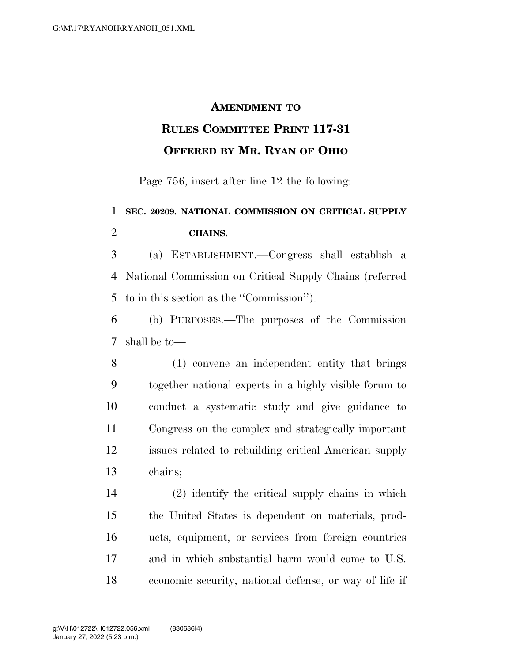## **AMENDMENT TO**

## **RULES COMMITTEE PRINT 117-31 OFFERED BY MR. RYAN OF OHIO**

Page 756, insert after line 12 the following:

## **SEC. 20209. NATIONAL COMMISSION ON CRITICAL SUPPLY CHAINS.**

 (a) ESTABLISHMENT.—Congress shall establish a National Commission on Critical Supply Chains (referred to in this section as the ''Commission'').

 (b) PURPOSES.—The purposes of the Commission shall be to—

 (1) convene an independent entity that brings together national experts in a highly visible forum to conduct a systematic study and give guidance to Congress on the complex and strategically important issues related to rebuilding critical American supply chains;

 (2) identify the critical supply chains in which the United States is dependent on materials, prod- ucts, equipment, or services from foreign countries and in which substantial harm would come to U.S. economic security, national defense, or way of life if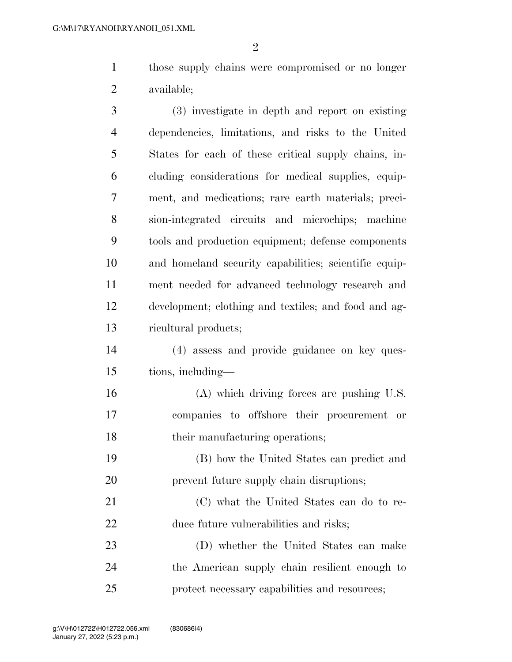$\mathfrak{D}$ 

 those supply chains were compromised or no longer available;

 (3) investigate in depth and report on existing dependencies, limitations, and risks to the United States for each of these critical supply chains, in- cluding considerations for medical supplies, equip- ment, and medications; rare earth materials; preci- sion-integrated circuits and microchips; machine tools and production equipment; defense components and homeland security capabilities; scientific equip- ment needed for advanced technology research and development; clothing and textiles; and food and ag-ricultural products;

 (4) assess and provide guidance on key ques-tions, including—

 (A) which driving forces are pushing U.S. companies to offshore their procurement or 18 their manufacturing operations;

 (B) how the United States can predict and 20 prevent future supply chain disruptions;

 (C) what the United States can do to re-duce future vulnerabilities and risks;

 (D) whether the United States can make the American supply chain resilient enough to protect necessary capabilities and resources;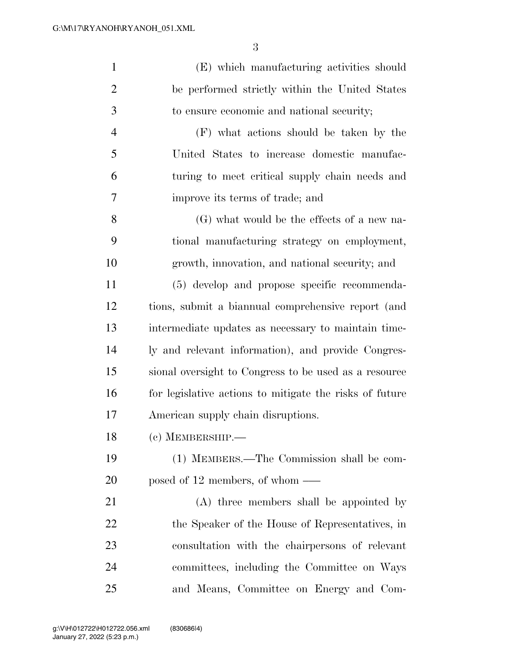| $\mathbf{1}$   | (E) which manufacturing activities should               |
|----------------|---------------------------------------------------------|
| $\overline{2}$ | be performed strictly within the United States          |
| 3              | to ensure economic and national security;               |
| $\overline{4}$ | (F) what actions should be taken by the                 |
| 5              | United States to increase domestic manufac-             |
| 6              | turing to meet critical supply chain needs and          |
| 7              | improve its terms of trade; and                         |
| 8              | (G) what would be the effects of a new na-              |
| 9              | tional manufacturing strategy on employment,            |
| 10             | growth, innovation, and national security; and          |
| 11             | (5) develop and propose specific recommenda-            |
| 12             | tions, submit a biannual comprehensive report (and      |
| 13             | intermediate updates as necessary to maintain time-     |
| 14             | ly and relevant information), and provide Congres-      |
| 15             | sional oversight to Congress to be used as a resource   |
| 16             | for legislative actions to mitigate the risks of future |
| 17             | American supply chain disruptions.                      |
| 18             | (c) MEMBERSHIP.                                         |
| 19             | (1) MEMBERS.—The Commission shall be com-               |
| 20             | posed of 12 members, of whom $\_\_$                     |
| 21             | (A) three members shall be appointed by                 |
| 22             | the Speaker of the House of Representatives, in         |
| 23             | consultation with the chairpersons of relevant          |
| 24             | committees, including the Committee on Ways             |

and Means, Committee on Energy and Com-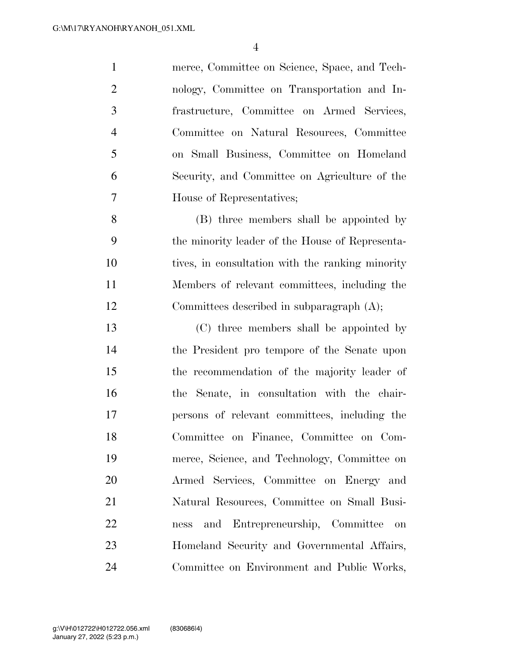merce, Committee on Science, Space, and Tech- nology, Committee on Transportation and In- frastructure, Committee on Armed Services, Committee on Natural Resources, Committee on Small Business, Committee on Homeland Security, and Committee on Agriculture of the House of Representatives;

 (B) three members shall be appointed by the minority leader of the House of Representa- tives, in consultation with the ranking minority Members of relevant committees, including the Committees described in subparagraph (A);

 (C) three members shall be appointed by the President pro tempore of the Senate upon the recommendation of the majority leader of the Senate, in consultation with the chair- persons of relevant committees, including the Committee on Finance, Committee on Com- merce, Science, and Technology, Committee on Armed Services, Committee on Energy and Natural Resources, Committee on Small Busi- ness and Entrepreneurship, Committee on Homeland Security and Governmental Affairs, Committee on Environment and Public Works,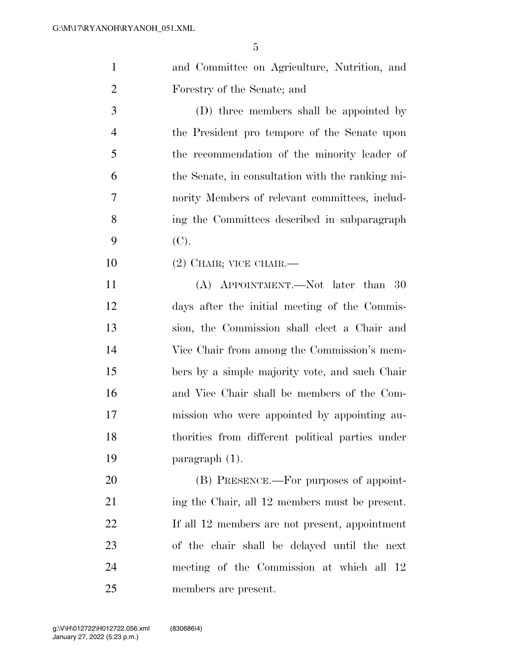|                | 5                                                |
|----------------|--------------------------------------------------|
| $\mathbf{1}$   | and Committee on Agriculture, Nutrition, and     |
| $\overline{2}$ | Forestry of the Senate; and                      |
| 3              | (D) three members shall be appointed by          |
| $\overline{4}$ | the President pro tempore of the Senate upon     |
| 5              | the recommendation of the minority leader of     |
| 6              | the Senate, in consultation with the ranking mi- |
| $\overline{7}$ | nority Members of relevant committees, includ-   |
| 8              | ing the Committees described in subparagraph     |
| 9              | (C).                                             |
| 10             | $(2)$ CHAIR; VICE CHAIR.—                        |
| 11             | (A) APPOINTMENT.—Not later than 30               |
| 12             | days after the initial meeting of the Commis-    |
| 13             | sion, the Commission shall elect a Chair and     |
| 14             | Vice Chair from among the Commission's mem-      |
| 15             | bers by a simple majority vote, and such Chair   |
|                |                                                  |

 and Vice Chair shall be members of the Com- mission who were appointed by appointing au- thorities from different political parties under paragraph (1).

20 (B) PRESENCE.—For purposes of appoint- ing the Chair, all 12 members must be present. If all 12 members are not present, appointment of the chair shall be delayed until the next meeting of the Commission at which all 12 members are present.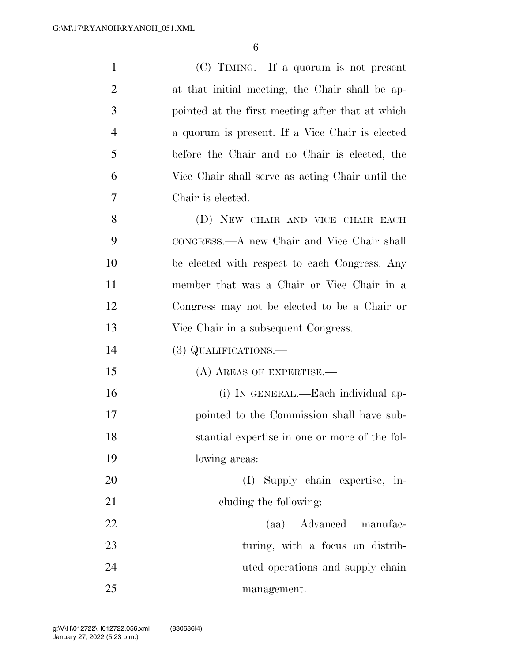| $\mathbf{1}$   | $(C)$ TIMING.—If a quorum is not present         |
|----------------|--------------------------------------------------|
| $\overline{2}$ | at that initial meeting, the Chair shall be ap-  |
| 3              | pointed at the first meeting after that at which |
| $\overline{4}$ | a quorum is present. If a Vice Chair is elected  |
| 5              | before the Chair and no Chair is elected, the    |
| 6              | Vice Chair shall serve as acting Chair until the |
| 7              | Chair is elected.                                |
| 8              | (D) NEW CHAIR AND VICE CHAIR EACH                |
| 9              | CONGRESS.—A new Chair and Vice Chair shall       |
| 10             | be elected with respect to each Congress. Any    |
| 11             | member that was a Chair or Vice Chair in a       |
| 12             | Congress may not be elected to be a Chair or     |
| 13             | Vice Chair in a subsequent Congress.             |
| 14             | (3) QUALIFICATIONS.—                             |
| 15             | $(A)$ AREAS OF EXPERTISE.—                       |
| 16             | (i) IN GENERAL.—Each individual ap-              |
| 17             | pointed to the Commission shall have sub-        |
| 18             | stantial expertise in one or more of the fol-    |
| 19             | lowing areas:                                    |
| 20             | (I) Supply chain expertise, in-                  |
| 21             | cluding the following:                           |
| 22             | (aa) Advanced manufac-                           |
| 23             | turing, with a focus on distrib-                 |
| 24             | uted operations and supply chain                 |
| 25             | management.                                      |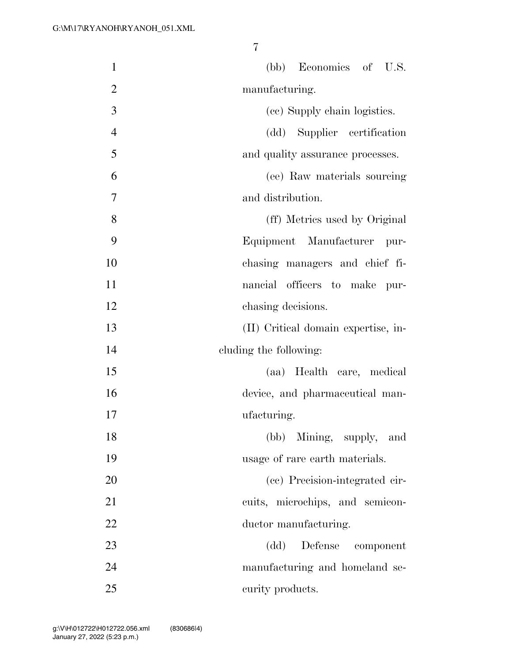| $\mathbf{1}$   | (bb) Economics of U.S.                     |
|----------------|--------------------------------------------|
| $\overline{2}$ | manufacturing.                             |
| 3              | (cc) Supply chain logistics.               |
| $\overline{4}$ | (dd) Supplier certification                |
| 5              | and quality assurance processes.           |
| 6              | (ee) Raw materials sourcing                |
| 7              | and distribution.                          |
| 8              | (ff) Metrics used by Original              |
| 9              | Equipment Manufacturer<br>pur-             |
| 10             | chasing managers and chief fi-             |
| 11             | nancial officers to make<br>pur-           |
| 12             | chasing decisions.                         |
| 13             | (II) Critical domain expertise, in-        |
| 14             | cluding the following:                     |
| 15             | (aa) Health care, medical                  |
| 16             | device, and pharmaceutical man-            |
| 17             | ufacturing.                                |
| 18             | (bb) Mining, supply, and                   |
| 19             | usage of rare earth materials.             |
| 20             | (cc) Precision-integrated cir-             |
| 21             | cuits, microchips, and semicon-            |
| 22             | ductor manufacturing.                      |
| 23             | $\left( dd\right)$<br>Defense<br>component |
| 24             | manufacturing and homeland se-             |
| 25             | curity products.                           |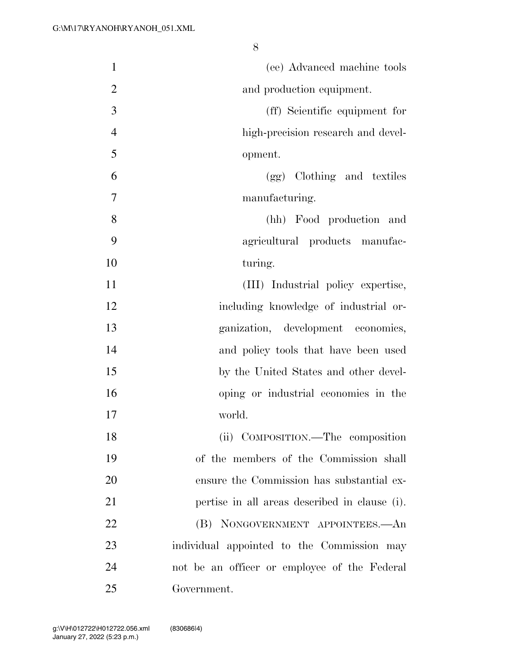| $\mathbf{1}$   | (ee) Advanced machine tools                   |
|----------------|-----------------------------------------------|
| $\overline{2}$ | and production equipment.                     |
| 3              | (ff) Scientific equipment for                 |
| $\overline{4}$ | high-precision research and devel-            |
| 5              | opment.                                       |
| 6              | (gg) Clothing and textiles                    |
| 7              | manufacturing.                                |
| 8              | (hh) Food production and                      |
| 9              | agricultural products manufac-                |
| 10             | turing.                                       |
| 11             | (III) Industrial policy expertise,            |
| 12             | including knowledge of industrial or-         |
| 13             | ganization, development economics,            |
| 14             | and policy tools that have been used          |
| 15             | by the United States and other devel-         |
| 16             | oping or industrial economies in the          |
| 17             | world.                                        |
| 18             | (ii) COMPOSITION.—The composition             |
| 19             | of the members of the Commission shall        |
| 20             | ensure the Commission has substantial ex-     |
| 21             | pertise in all areas described in clause (i). |
| 22             | (B) NONGOVERNMENT APPOINTEES.—An              |
| 23             | individual appointed to the Commission may    |
| 24             | not be an officer or employee of the Federal  |
| 25             | Government.                                   |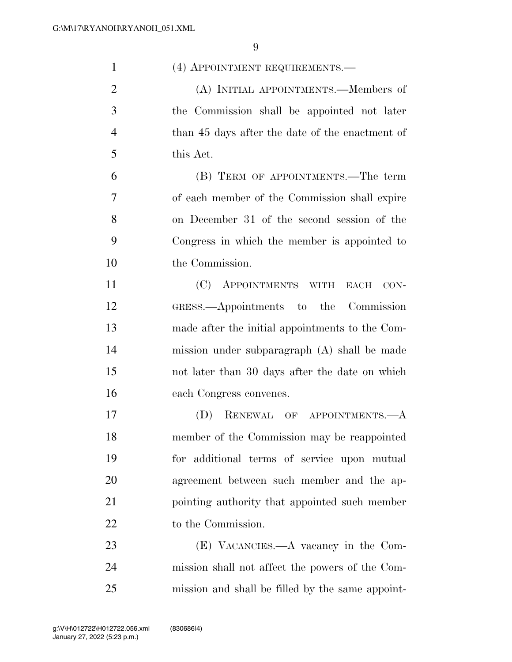| $\mathbf{1}$   | (4) APPOINTMENT REQUIREMENTS.                    |
|----------------|--------------------------------------------------|
| $\overline{2}$ | (A) INITIAL APPOINTMENTS.—Members of             |
| 3              | the Commission shall be appointed not later      |
| $\overline{4}$ | than 45 days after the date of the enactment of  |
| 5              | this Act.                                        |
| 6              | (B) TERM OF APPOINTMENTS.—The term               |
| 7              | of each member of the Commission shall expire    |
| 8              | on December 31 of the second session of the      |
| 9              | Congress in which the member is appointed to     |
| 10             | the Commission.                                  |
| 11             | (C) APPOINTMENTS WITH<br>$_{\rm EACH}$<br>CON-   |
| 12             | GRESS.—Appointments to the Commission            |
| 13             | made after the initial appointments to the Com-  |
| 14             | mission under subparagraph (A) shall be made     |
| 15             | not later than 30 days after the date on which   |
| 16             | each Congress convenes.                          |
| 17             | RENEWAL OF APPOINTMENTS.—A<br>(D)                |
| 18             | member of the Commission may be reappointed      |
| 19             | for additional terms of service upon mutual      |
| 20             | agreement between such member and the ap-        |
| 21             | pointing authority that appointed such member    |
| 22             | to the Commission.                               |
| 23             | (E) VACANCIES.—A vacancy in the Com-             |
| 24             | mission shall not affect the powers of the Com-  |
| 25             | mission and shall be filled by the same appoint- |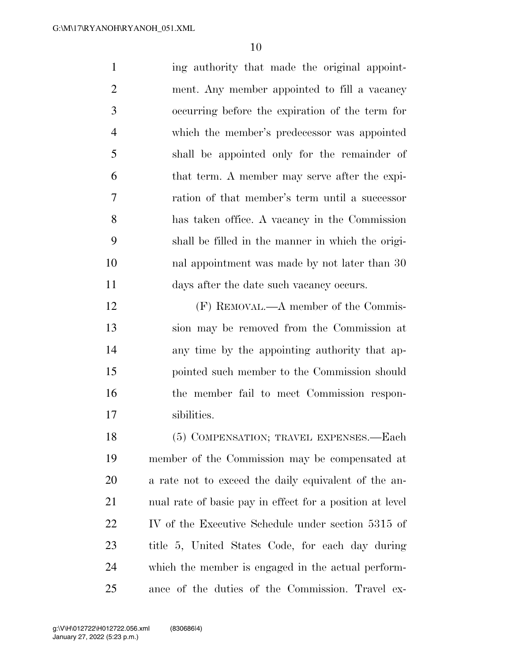| $\mathbf{1}$   | ing authority that made the original appoint-     |
|----------------|---------------------------------------------------|
| $\overline{2}$ | ment. Any member appointed to fill a vacancy      |
| 3              | occurring before the expiration of the term for   |
| $\overline{4}$ | which the member's predecessor was appointed      |
| 5              | shall be appointed only for the remainder of      |
| 6              | that term. A member may serve after the expi-     |
| 7              | ration of that member's term until a successor    |
| 8              | has taken office. A vacancy in the Commission     |
| 9              | shall be filled in the manner in which the origi- |
| 10             | nal appointment was made by not later than 30     |
| 11             | days after the date such vacancy occurs.          |
| 12             | (F) REMOVAL.—A member of the Commis-              |
| 13             | sion may be removed from the Commission at        |
| 14             | any time by the appointing authority that ap-     |
| 15             | pointed such member to the Commission should      |
| 16             | the member fail to meet Commission respon-        |
| 17             | sibilities.                                       |

18 (5) COMPENSATION; TRAVEL EXPENSES.—Each member of the Commission may be compensated at a rate not to exceed the daily equivalent of the an- nual rate of basic pay in effect for a position at level IV of the Executive Schedule under section 5315 of title 5, United States Code, for each day during which the member is engaged in the actual perform-ance of the duties of the Commission. Travel ex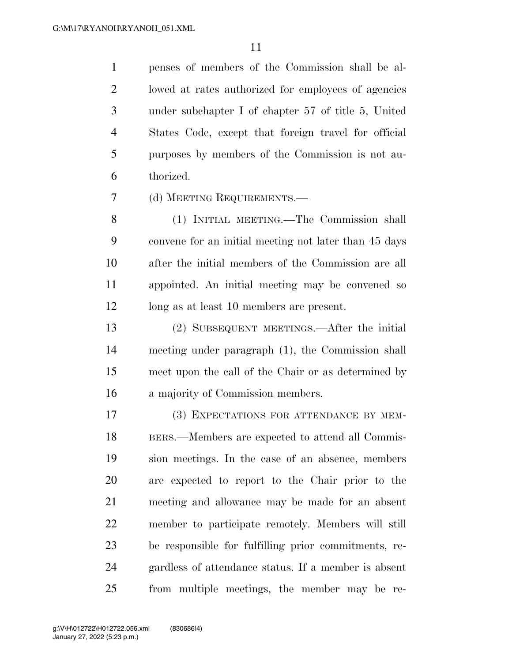penses of members of the Commission shall be al- lowed at rates authorized for employees of agencies under subchapter I of chapter 57 of title 5, United States Code, except that foreign travel for official purposes by members of the Commission is not au-thorized.

(d) MEETING REQUIREMENTS.—

 (1) INITIAL MEETING.—The Commission shall convene for an initial meeting not later than 45 days after the initial members of the Commission are all appointed. An initial meeting may be convened so long as at least 10 members are present.

 (2) SUBSEQUENT MEETINGS.—After the initial meeting under paragraph (1), the Commission shall meet upon the call of the Chair or as determined by a majority of Commission members.

 (3) EXPECTATIONS FOR ATTENDANCE BY MEM- BERS.—Members are expected to attend all Commis- sion meetings. In the case of an absence, members are expected to report to the Chair prior to the meeting and allowance may be made for an absent member to participate remotely. Members will still be responsible for fulfilling prior commitments, re- gardless of attendance status. If a member is absent from multiple meetings, the member may be re-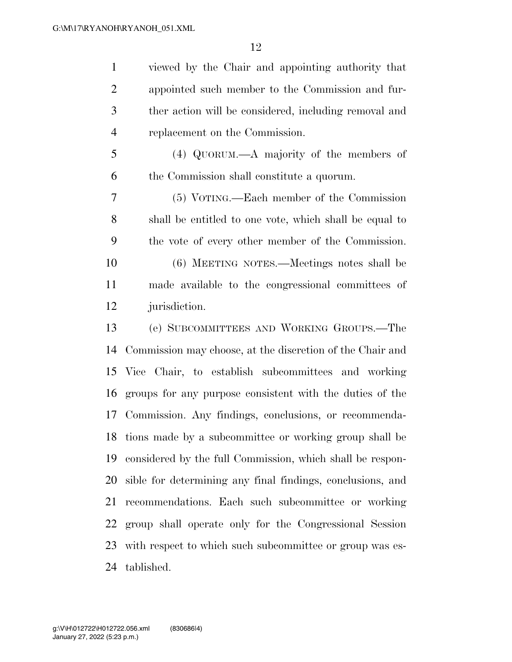viewed by the Chair and appointing authority that appointed such member to the Commission and fur- ther action will be considered, including removal and replacement on the Commission.

 (4) QUORUM.—A majority of the members of the Commission shall constitute a quorum.

 (5) VOTING.—Each member of the Commission shall be entitled to one vote, which shall be equal to the vote of every other member of the Commission.

 (6) MEETING NOTES.—Meetings notes shall be made available to the congressional committees of jurisdiction.

 (e) SUBCOMMITTEES AND WORKING GROUPS.—The Commission may choose, at the discretion of the Chair and Vice Chair, to establish subcommittees and working groups for any purpose consistent with the duties of the Commission. Any findings, conclusions, or recommenda- tions made by a subcommittee or working group shall be considered by the full Commission, which shall be respon- sible for determining any final findings, conclusions, and recommendations. Each such subcommittee or working group shall operate only for the Congressional Session with respect to which such subcommittee or group was es-tablished.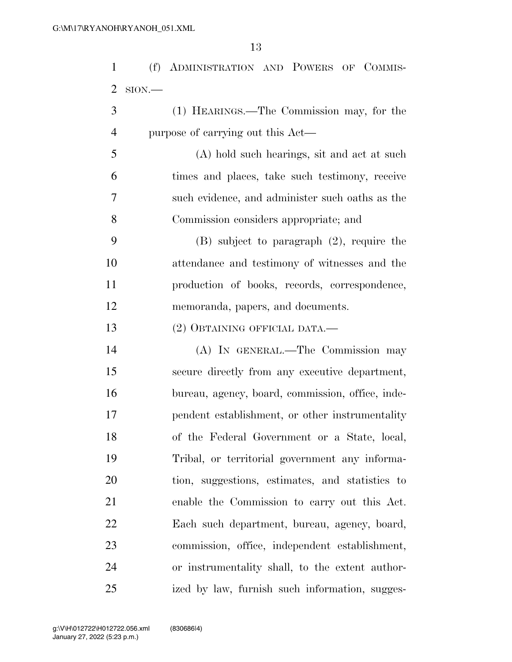(f) ADMINISTRATION AND POWERS OF COMMIS-SION.—

- (1) HEARINGS.—The Commission may, for the purpose of carrying out this Act—
- (A) hold such hearings, sit and act at such times and places, take such testimony, receive such evidence, and administer such oaths as the Commission considers appropriate; and
- (B) subject to paragraph (2), require the attendance and testimony of witnesses and the production of books, records, correspondence, memoranda, papers, and documents.
- (2) OBTAINING OFFICIAL DATA.—

 (A) IN GENERAL.—The Commission may secure directly from any executive department, bureau, agency, board, commission, office, inde- pendent establishment, or other instrumentality of the Federal Government or a State, local, Tribal, or territorial government any informa- tion, suggestions, estimates, and statistics to enable the Commission to carry out this Act. Each such department, bureau, agency, board, commission, office, independent establishment, or instrumentality shall, to the extent author-ized by law, furnish such information, sugges-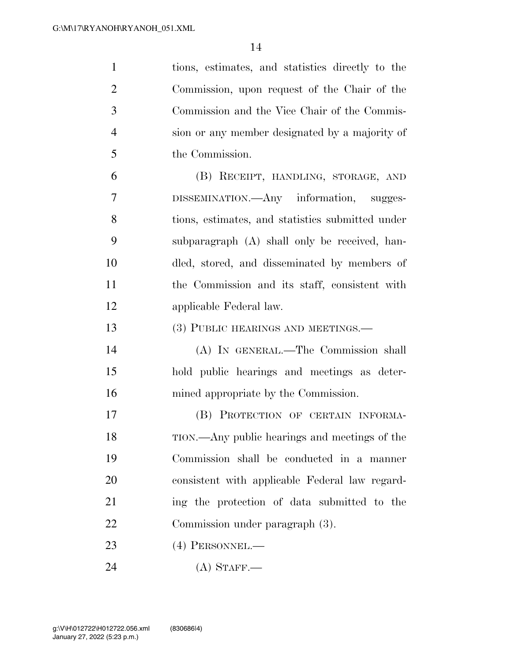| $\mathbf{1}$   | tions, estimates, and statistics directly to the |
|----------------|--------------------------------------------------|
| $\overline{2}$ | Commission, upon request of the Chair of the     |
| 3              | Commission and the Vice Chair of the Commis-     |
| $\overline{4}$ | sion or any member designated by a majority of   |
| 5              | the Commission.                                  |
| 6              | (B) RECEIPT, HANDLING, STORAGE, AND              |
| 7              | DISSEMINATION.—Any information, sugges-          |
| 8              | tions, estimates, and statistics submitted under |
| 9              | subparagraph (A) shall only be received, han-    |
| 10             | dled, stored, and disseminated by members of     |
| 11             | the Commission and its staff, consistent with    |
| 12             | applicable Federal law.                          |
| 13             | (3) PUBLIC HEARINGS AND MEETINGS.—               |
| 14             | (A) IN GENERAL.—The Commission shall             |
| 15             | hold public hearings and meetings as deter-      |
| 16             | mined appropriate by the Commission.             |
| 17             | (B) PROTECTION OF CERTAIN INFORMA-               |
| 18             | TION.—Any public hearings and meetings of the    |
| 19             | Commission shall be conducted in a manner        |
| 20             | consistent with applicable Federal law regard-   |
| 21             | ing the protection of data submitted to the      |
| 22             | Commission under paragraph (3).                  |
| 23             | $(4)$ PERSONNEL.—                                |
| 24             | $(A)$ STAFF.—                                    |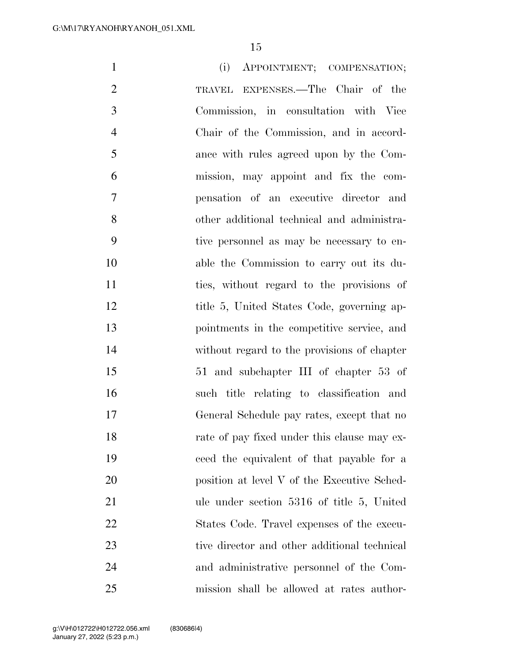| 1<br>(i)<br>APPOINTMENT; COMPENSATION;                    |
|-----------------------------------------------------------|
| $\overline{2}$<br>TRAVEL EXPENSES.—The Chair of the       |
| 3<br>Commission, in consultation with Vice                |
| $\overline{4}$<br>Chair of the Commission, and in accord- |
| 5<br>ance with rules agreed upon by the Com-              |
| 6<br>mission, may appoint and fix the com-                |
| $\overline{7}$<br>pensation of an executive director and  |
| 8<br>other additional technical and administra-           |
| 9<br>tive personnel as may be necessary to en-            |
| 10<br>able the Commission to carry out its du-            |
| 11<br>ties, without regard to the provisions of           |
| 12<br>title 5, United States Code, governing ap-          |
| 13<br>pointments in the competitive service, and          |
| 14<br>without regard to the provisions of chapter         |
| 15<br>51 and subchapter III of chapter 53 of              |
| 16<br>such title relating to classification and           |
| 17<br>General Schedule pay rates, except that no          |
| 18<br>rate of pay fixed under this clause may ex-         |
| 19<br>ceed the equivalent of that payable for a           |
| 20<br>position at level V of the Executive Sched-         |
| 21<br>ule under section 5316 of title 5, United           |
| 22<br>States Code. Travel expenses of the execu-          |
| 23<br>tive director and other additional technical        |
| 24<br>and administrative personnel of the Com-            |
| 25<br>mission shall be allowed at rates author-           |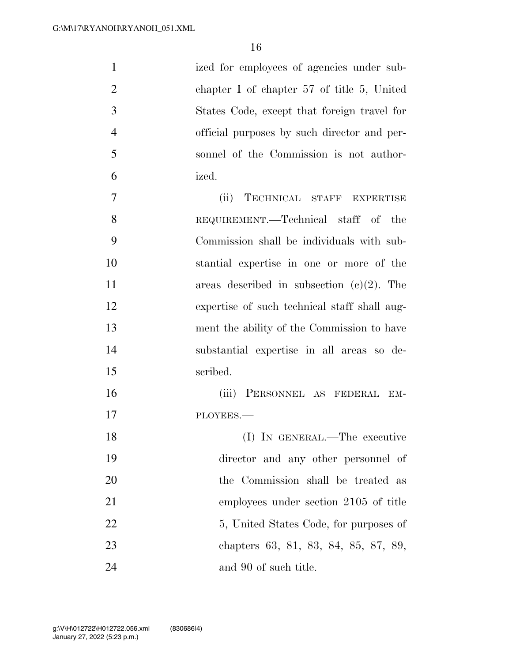| $\mathbf{1}$   | ized for employees of agencies under sub-    |
|----------------|----------------------------------------------|
| $\overline{2}$ | chapter I of chapter $57$ of title 5, United |
| 3              | States Code, except that foreign travel for  |
| $\overline{4}$ | official purposes by such director and per-  |
| 5              | sonnel of the Commission is not author-      |
| 6              | ized.                                        |
| $\overline{7}$ | TECHNICAL STAFF EXPERTISE<br>(ii)            |
| 8              | REQUIREMENT.—Technical staff of the          |
| 9              | Commission shall be individuals with sub-    |
| 10             | stantial expertise in one or more of the     |
| 11             | areas described in subsection $(e)(2)$ . The |
| 12             | expertise of such technical staff shall aug- |
| 13             | ment the ability of the Commission to have   |
| 14             | substantial expertise in all areas so de-    |
| 15             | scribed.                                     |
| 16             | (iii) PERSONNEL AS FEDERAL EM-               |
| 17             | PLOYEES.                                     |
| 18             | (I) IN GENERAL.—The executive                |
| 19             | director and any other personnel of          |
| 20             | the Commission shall be treated as           |
| 21             | employees under section 2105 of title        |
| 22             | 5, United States Code, for purposes of       |
| 23             | chapters 63, 81, 83, 84, 85, 87, 89,         |
| 24             | and 90 of such title.                        |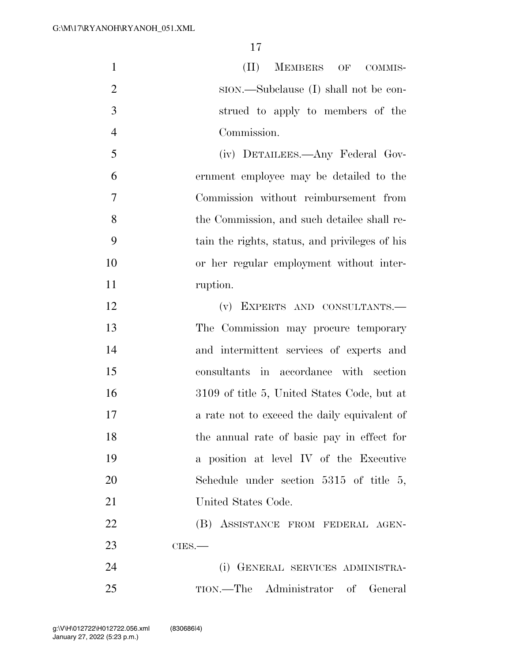1 (II) MEMBERS OF COMMIS-2 SION.—Subclause (I) shall not be con- strued to apply to members of the Commission.

 (iv) DETAILEES.—Any Federal Gov- ernment employee may be detailed to the Commission without reimbursement from the Commission, and such detailee shall re- tain the rights, status, and privileges of his or her regular employment without inter-ruption.

 (v) EXPERTS AND CONSULTANTS.— The Commission may procure temporary and intermittent services of experts and consultants in accordance with section 3109 of title 5, United States Code, but at 17 a rate not to exceed the daily equivalent of the annual rate of basic pay in effect for a position at level IV of the Executive Schedule under section 5315 of title 5, United States Code.

22 (B) ASSISTANCE FROM FEDERAL AGEN-CIES.—

 (i) GENERAL SERVICES ADMINISTRA-TION.—The Administrator of General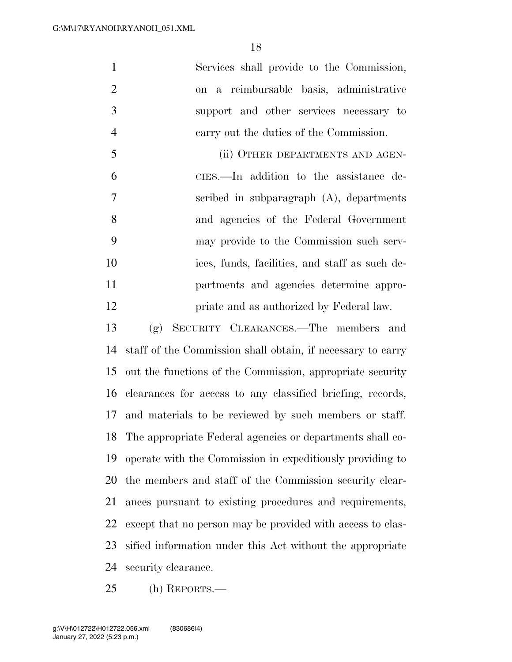| 1              | Services shall provide to the Commission,      |
|----------------|------------------------------------------------|
| $\overline{2}$ | on a reimbursable basis, administrative        |
| 3              | support and other services necessary to        |
| $\overline{4}$ | carry out the duties of the Commission.        |
| 5              | (ii) OTHER DEPARTMENTS AND AGEN-               |
| 6              | CIES.—In addition to the assistance de-        |
| $\overline{7}$ | scribed in subparagraph $(A)$ , departments    |
| 8              | and agencies of the Federal Government         |
| 9              | may provide to the Commission such serv-       |
| 10             | ices, funds, facilities, and staff as such de- |
| 11             | partments and agencies determine appro-        |
| 12             | priate and as authorized by Federal law.       |

 (g) SECURITY CLEARANCES.—The members and staff of the Commission shall obtain, if necessary to carry out the functions of the Commission, appropriate security clearances for access to any classified briefing, records, and materials to be reviewed by such members or staff. The appropriate Federal agencies or departments shall co- operate with the Commission in expeditiously providing to the members and staff of the Commission security clear- ances pursuant to existing procedures and requirements, except that no person may be provided with access to clas- sified information under this Act without the appropriate security clearance.

(h) REPORTS.—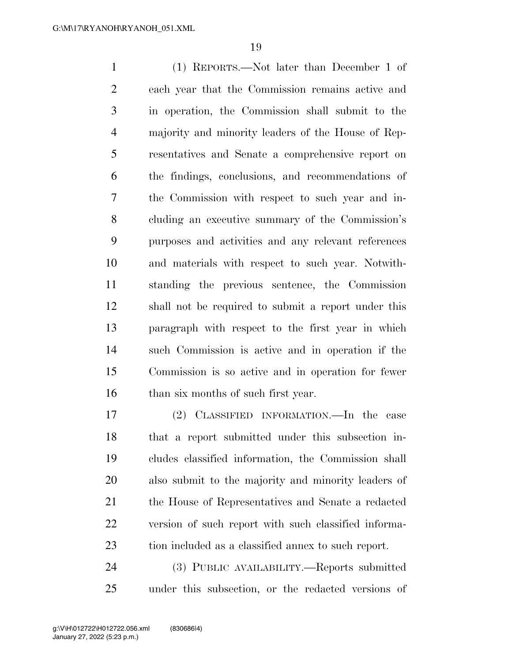(1) REPORTS.—Not later than December 1 of each year that the Commission remains active and in operation, the Commission shall submit to the majority and minority leaders of the House of Rep- resentatives and Senate a comprehensive report on the findings, conclusions, and recommendations of the Commission with respect to such year and in- cluding an executive summary of the Commission's purposes and activities and any relevant references and materials with respect to such year. Notwith- standing the previous sentence, the Commission shall not be required to submit a report under this paragraph with respect to the first year in which such Commission is active and in operation if the Commission is so active and in operation for fewer 16 than six months of such first year.

 (2) CLASSIFIED INFORMATION.—In the case that a report submitted under this subsection in- cludes classified information, the Commission shall also submit to the majority and minority leaders of the House of Representatives and Senate a redacted version of such report with such classified informa-tion included as a classified annex to such report.

 (3) PUBLIC AVAILABILITY.—Reports submitted under this subsection, or the redacted versions of